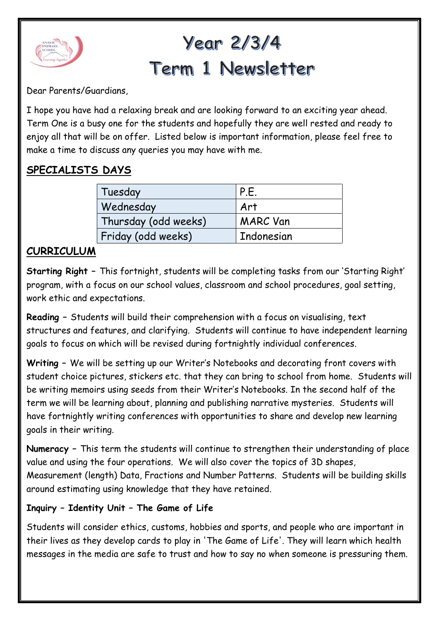

# Year 2/3/4 Term 1 Newsletter

Dear Parents/Guardians,

I hope you have had a relaxing break and are looking forward to an exciting year ahead. Term One is a busy one for the students and hopefully they are well rested and ready to enjoy all that will be on offer. Listed below is important information, please feel free to make a time to discuss any queries you may have with me.

#### **SPECIALISTS DAYS**

| Tuesday              | P.F             |
|----------------------|-----------------|
| Wednesday            | Art             |
| Thursday (odd weeks) | <b>MARC Van</b> |
| Friday (odd weeks)   | Indonesian      |

#### **CURRICULUM**

**Starting Right –** This fortnight, students will be completing tasks from our 'Starting Right' program, with a focus on our school values, classroom and school procedures, goal setting, work ethic and expectations.

**Reading –** Students will build their comprehension with a focus on visualising, text structures and features, and clarifying. Students will continue to have independent learning goals to focus on which will be revised during fortnightly individual conferences.

**Writing –** We will be setting up our Writer's Notebooks and decorating front covers with student choice pictures, stickers etc. that they can bring to school from home. Students will be writing memoirs using seeds from their Writer's Notebooks. In the second half of the term we will be learning about, planning and publishing narrative mysteries. Students will have fortnightly writing conferences with opportunities to share and develop new learning goals in their writing.

**Numeracy –** This term the students will continue to strengthen their understanding of place value and using the four operations. We will also cover the topics of 3D shapes, Measurement (length) Data, Fractions and Number Patterns. Students will be building skills around estimating using knowledge that they have retained.

#### **Inquiry – Identity Unit – The Game of Life**

Students will consider ethics, customs, hobbies and sports, and people who are important in their lives as they develop cards to play in 'The Game of Life'. They will learn which health messages in the media are safe to trust and how to say no when someone is pressuring them.